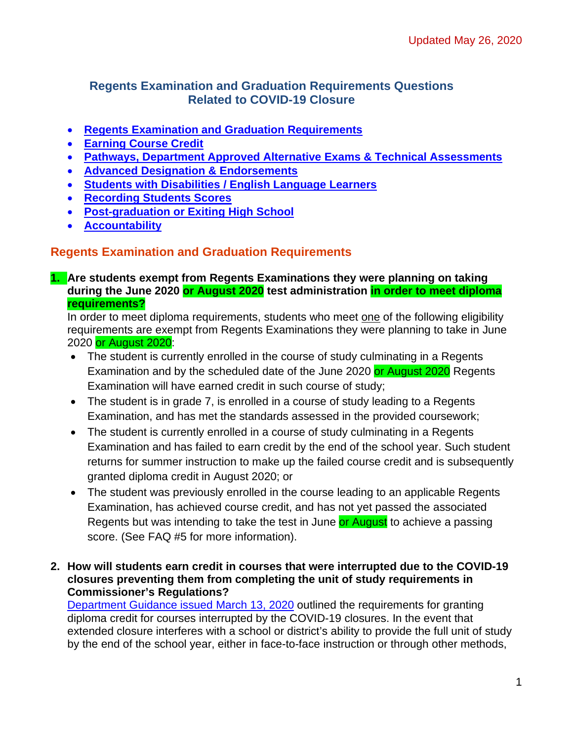## <span id="page-0-0"></span>**Regents Examination and Graduation Requirements Questions Related to COVID-19 Closure**

- **Regents Examination [and Graduation Requirements](#page-0-0)**
- **[Earning Course Credit](#page-4-0)**
- **[Pathways, Department Approved Alternative Exams & Technical Assessments](#page-5-0)**
- **[Advanced Designation & Endorsements](#page-7-0)**
- **[Students with Disabilities / English Language Learners](#page-9-0)**
- **[Recording Students Scores](#page-10-0)**
- **[Post-graduation or Exiting High School](#page-11-0)**
- **[Accountability](#page-11-1)**

## **Regents Examination and Graduation Requirements**

**1. Are students exempt from Regents Examinations they were planning on taking during the June 2020 or August 2020 test administration in order to meet diploma requirements?**

In order to meet diploma requirements, students who meet one of the following eligibility requirements are exempt from Regents Examinations they were planning to take in June 2020 or August 2020:

- The student is currently enrolled in the course of study culminating in a Regents Examination and by the scheduled date of the June 2020 or August 2020 Regents Examination will have earned credit in such course of study;
- The student is in grade 7, is enrolled in a course of study leading to a Regents Examination, and has met the standards assessed in the provided coursework;
- The student is currently enrolled in a course of study culminating in a Regents Examination and has failed to earn credit by the end of the school year. Such student returns for summer instruction to make up the failed course credit and is subsequently granted diploma credit in August 2020; or
- The student was previously enrolled in the course leading to an applicable Regents Examination, has achieved course credit, and has not yet passed the associated Regents but was intending to take the test in June or August to achieve a passing score. (See FAQ #5 for more information).
- **2. How will students earn credit in courses that were interrupted due to the COVID-19 closures preventing them from completing the unit of study requirements in Commissioner's Regulations?**

[Department Guidance issued March 13, 2020](http://www.nysed.gov/coronavirus/news/state-education-department-issues-additional-guidance-schools-regarding-novel) outlined the requirements for granting diploma credit for courses interrupted by the COVID-19 closures. In the event that extended closure interferes with a school or district's ability to provide the full unit of study by the end of the school year, either in face-to-face instruction or through other methods,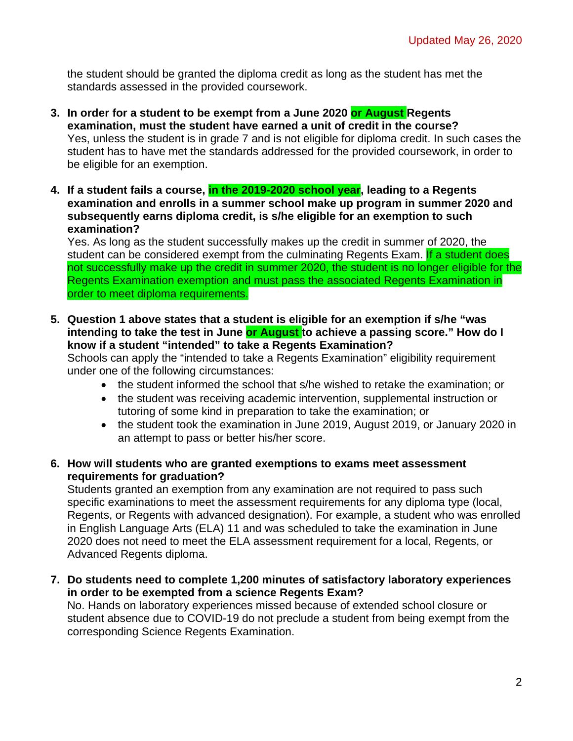the student should be granted the diploma credit as long as the student has met the standards assessed in the provided coursework.

- **3. In order for a student to be exempt from a June 2020 or August Regents examination, must the student have earned a unit of credit in the course?** Yes, unless the student is in grade 7 and is not eligible for diploma credit. In such cases the student has to have met the standards addressed for the provided coursework, in order to be eligible for an exemption.
- **4. If a student fails a course, in the 2019-2020 school year, leading to a Regents examination and enrolls in a summer school make up program in summer 2020 and subsequently earns diploma credit, is s/he eligible for an exemption to such examination?**

Yes. As long as the student successfully makes up the credit in summer of 2020, the student can be considered exempt from the culminating Regents Exam. If a student does not successfully make up the credit in summer 2020, the student is no longer eligible for the Regents Examination exemption and must pass the associated Regents Examination in order to meet diploma requirements.

**5. Question 1 above states that a student is eligible for an exemption if s/he "was intending to take the test in June or August to achieve a passing score." How do I know if a student "intended" to take a Regents Examination?**

Schools can apply the "intended to take a Regents Examination" eligibility requirement under one of the following circumstances:

- the student informed the school that s/he wished to retake the examination; or
- the student was receiving academic intervention, supplemental instruction or tutoring of some kind in preparation to take the examination; or
- the student took the examination in June 2019, August 2019, or January 2020 in an attempt to pass or better his/her score.
- **6. How will students who are granted exemptions to exams meet assessment requirements for graduation?**

Students granted an exemption from any examination are not required to pass such specific examinations to meet the assessment requirements for any diploma type (local, Regents, or Regents with advanced designation). For example, a student who was enrolled in English Language Arts (ELA) 11 and was scheduled to take the examination in June 2020 does not need to meet the ELA assessment requirement for a local, Regents, or Advanced Regents diploma.

**7. Do students need to complete 1,200 minutes of satisfactory laboratory experiences in order to be exempted from a science Regents Exam?**

No. Hands on laboratory experiences missed because of extended school closure or student absence due to COVID-19 do not preclude a student from being exempt from the corresponding Science Regents Examination.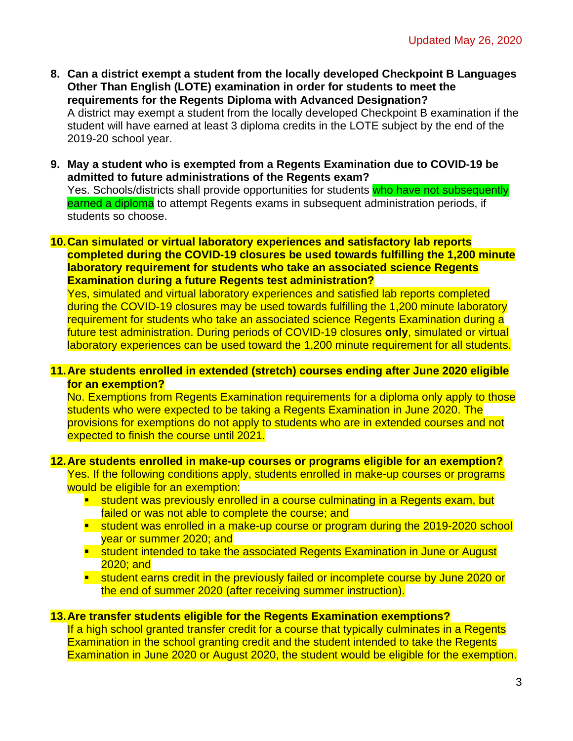- **8. Can a district exempt a student from the locally developed Checkpoint B Languages Other Than English (LOTE) examination in order for students to meet the requirements for the Regents Diploma with Advanced Designation?** A district may exempt a student from the locally developed Checkpoint B examination if the student will have earned at least 3 diploma credits in the LOTE subject by the end of the 2019-20 school year.
- **9. May a student who is exempted from a Regents Examination due to COVID-19 be admitted to future administrations of the Regents exam?** Yes. Schools/districts shall provide opportunities for students who have not subsequently earned a diploma to attempt Regents exams in subsequent administration periods, if students so choose.
- **10.Can simulated or virtual laboratory experiences and satisfactory lab reports completed during the COVID-19 closures be used towards fulfilling the 1,200 minute laboratory requirement for students who take an associated science Regents Examination during a future Regents test administration?**

Yes, simulated and virtual laboratory experiences and satisfied lab reports completed during the COVID-19 closures may be used towards fulfilling the 1,200 minute laboratory requirement for students who take an associated science Regents Examination during a future test administration. During periods of COVID-19 closures **only**, simulated or virtual laboratory experiences can be used toward the 1,200 minute requirement for all students.

#### **11.Are students enrolled in extended (stretch) courses ending after June 2020 eligible for an exemption?**

No. Exemptions from Regents Examination requirements for a diploma only apply to those students who were expected to be taking a Regents Examination in June 2020. The provisions for exemptions do not apply to students who are in extended courses and not expected to finish the course until 2021.

#### **12.Are students enrolled in make-up courses or programs eligible for an exemption?**

Yes. If the following conditions apply, students enrolled in make-up courses or programs would be eligible for an exemption:

- **student was previously enrolled in a course culminating in a Regents exam, but** failed or was not able to complete the course; and
- **student was enrolled in a make-up course or program during the 2019-2020 school** year or summer 2020; and
- **Student intended to take the associated Regents Examination in June or August** 2020; and
- **student earns credit in the previously failed or incomplete course by June 2020 or** the end of summer 2020 (after receiving summer instruction).

### **13.Are transfer students eligible for the Regents Examination exemptions?**

If a high school granted transfer credit for a course that typically culminates in a Regents Examination in the school granting credit and the student intended to take the Regents Examination in June 2020 or August 2020, the student would be eligible for the exemption.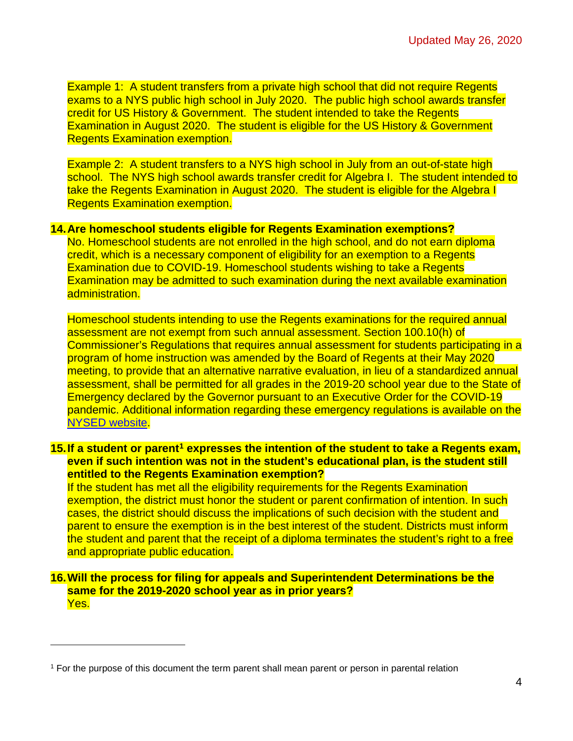Example 1: A student transfers from a private high school that did not require Regents exams to a NYS public high school in July 2020. The public high school awards transfer credit for US History & Government. The student intended to take the Regents Examination in August 2020. The student is eligible for the US History & Government Regents Examination exemption.

Example 2: A student transfers to a NYS high school in July from an out-of-state high school. The NYS high school awards transfer credit for Algebra I. The student intended to take the Regents Examination in August 2020. The student is eligible for the Algebra I Regents Examination exemption.

#### **14.Are homeschool students eligible for Regents Examination exemptions?**

No. Homeschool students are not enrolled in the high school, and do not earn diploma credit, which is a necessary component of eligibility for an exemption to a Regents Examination due to COVID-19. Homeschool students wishing to take a Regents Examination may be admitted to such examination during the next available examination administration.

Homeschool students intending to use the Regents examinations for the required annual assessment are not exempt from such annual assessment. Section 100.10(h) of Commissioner's Regulations that requires annual assessment for students participating in a program of home instruction was amended by the Board of Regents at their May 2020 meeting, to provide that an alternative narrative evaluation, in lieu of a standardized annual assessment, shall be permitted for all grades in the 2019-20 school year due to the State of Emergency declared by the Governor pursuant to an Executive Order for the COVID-19 pandemic. Additional information regarding these emergency regulations is available on the [NYSED website.](http://www.nysed.gov/news/2020/board-regents-acts-series-emergency-regulations-ease-burdens-educators-students-and?fbclid=IwAR3EFZrMbGtKzyOspNdIzSKRQ3E21bXvVJaO4w7SmHP66-4E2LrygD70fZ0)

**15.If a student or parent[1](#page-3-0) expresses the intention of the student to take a Regents exam, even if such intention was not in the student's educational plan, is the student still entitled to the Regents Examination exemption?**

If the student has met all the eligibility requirements for the Regents Examination exemption, the district must honor the student or parent confirmation of intention. In such cases, the district should discuss the implications of such decision with the student and parent to ensure the exemption is in the best interest of the student. Districts must inform the student and parent that the receipt of a diploma terminates the student's right to a free and appropriate public education.

### **16.Will the process for filing for appeals and Superintendent Determinations be the same for the 2019-2020 school year as in prior years?** Yes.

<span id="page-3-0"></span><sup>1</sup> For the purpose of this document the term parent shall mean parent or person in parental relation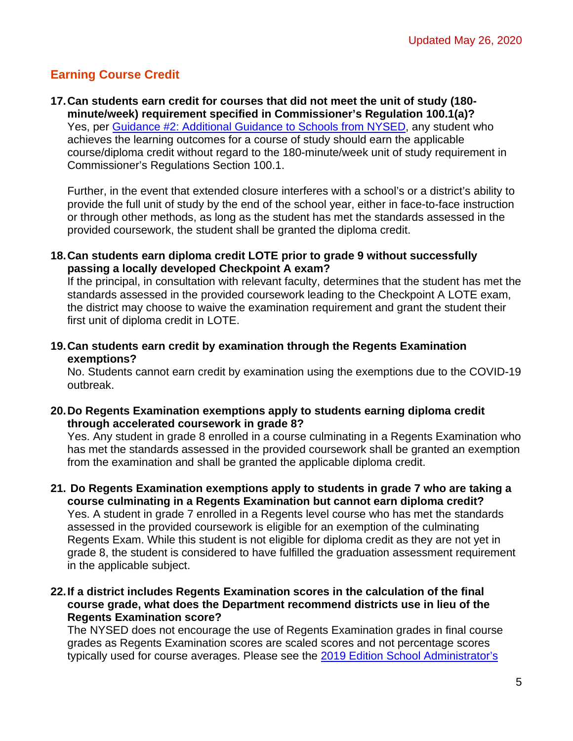# <span id="page-4-0"></span>**Earning Course Credit**

**17.Can students earn credit for courses that did not meet the unit of study (180 minute/week) requirement specified in Commissioner's Regulation 100.1(a)?** Yes, per [Guidance #2: Additional Guidance to Schools from NYSED,](http://www.p12.nysed.gov/sss/schoolhealth/schoolhealthservices/coronavirus/nysed-covid-19-second-guidance-3-13-20.pdf#page=4) any student who achieves the learning outcomes for a course of study should earn the applicable course/diploma credit without regard to the 180-minute/week unit of study requirement in Commissioner's Regulations Section 100.1.

Further, in the event that extended closure interferes with a school's or a district's ability to provide the full unit of study by the end of the school year, either in face-to-face instruction or through other methods, as long as the student has met the standards assessed in the provided coursework, the student shall be granted the diploma credit.

#### **18.Can students earn diploma credit LOTE prior to grade 9 without successfully passing a locally developed Checkpoint A exam?**

If the principal, in consultation with relevant faculty, determines that the student has met the standards assessed in the provided coursework leading to the Checkpoint A LOTE exam, the district may choose to waive the examination requirement and grant the student their first unit of diploma credit in LOTE.

**19.Can students earn credit by examination through the Regents Examination exemptions?**

No. Students cannot earn credit by examination using the exemptions due to the COVID-19 outbreak.

**20.Do Regents Examination exemptions apply to students earning diploma credit through accelerated coursework in grade 8?**

Yes. Any student in grade 8 enrolled in a course culminating in a Regents Examination who has met the standards assessed in the provided coursework shall be granted an exemption from the examination and shall be granted the applicable diploma credit.

- **21. Do Regents Examination exemptions apply to students in grade 7 who are taking a course culminating in a Regents Examination but cannot earn diploma credit?** Yes. A student in grade 7 enrolled in a Regents level course who has met the standards assessed in the provided coursework is eligible for an exemption of the culminating Regents Exam. While this student is not eligible for diploma credit as they are not yet in grade 8, the student is considered to have fulfilled the graduation assessment requirement in the applicable subject.
- **22.If a district includes Regents Examination scores in the calculation of the final course grade, what does the Department recommend districts use in lieu of the Regents Examination score?**

The NYSED does not encourage the use of Regents Examination grades in final course grades as Regents Examination scores are scaled scores and not percentage scores typically used for course averages. Please see the [2019 Edition School Administrator's](http://www.p12.nysed.gov/assessment/sam/secondary/hssam-19.pdf)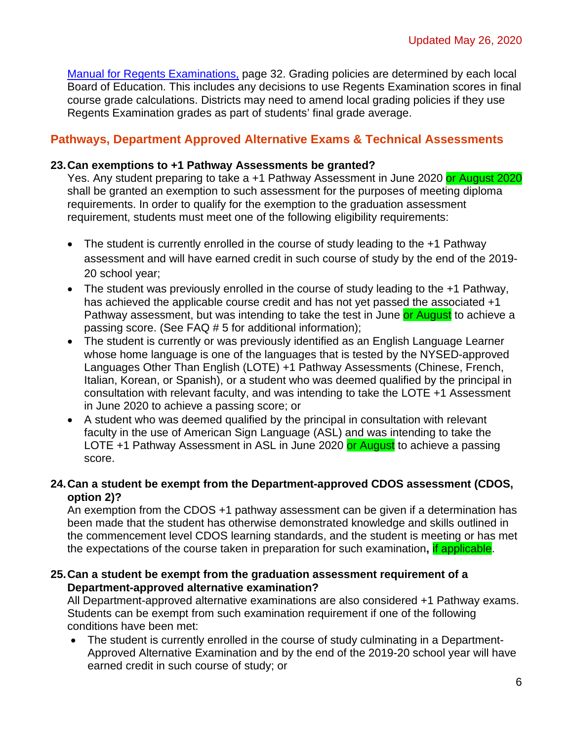[Manual for Regents Examinations,](http://www.p12.nysed.gov/assessment/sam/secondary/hssam-19.pdf) page 32. Grading policies are determined by each local Board of Education. This includes any decisions to use Regents Examination scores in final course grade calculations. Districts may need to amend local grading policies if they use Regents Examination grades as part of students' final grade average.

## <span id="page-5-0"></span>**Pathways, Department Approved Alternative Exams & Technical Assessments**

### **23.Can exemptions to +1 Pathway Assessments be granted?**

Yes. Any student preparing to take a +1 Pathway Assessment in June 2020 or August 2020 shall be granted an exemption to such assessment for the purposes of meeting diploma requirements. In order to qualify for the exemption to the graduation assessment requirement, students must meet one of the following eligibility requirements:

- The student is currently enrolled in the course of study leading to the +1 Pathway assessment and will have earned credit in such course of study by the end of the 2019- 20 school year;
- The student was previously enrolled in the course of study leading to the +1 Pathway, has achieved the applicable course credit and has not yet passed the associated +1 Pathway assessment, but was intending to take the test in June or August to achieve a passing score. (See FAQ # 5 for additional information);
- The student is currently or was previously identified as an English Language Learner whose home language is one of the languages that is tested by the NYSED-approved Languages Other Than English (LOTE) +1 Pathway Assessments (Chinese, French, Italian, Korean, or Spanish), or a student who was deemed qualified by the principal in consultation with relevant faculty, and was intending to take the LOTE +1 Assessment in June 2020 to achieve a passing score; or
- A student who was deemed qualified by the principal in consultation with relevant faculty in the use of American Sign Language (ASL) and was intending to take the LOTE +1 Pathway Assessment in ASL in June 2020 or August to achieve a passing score.

### **24.Can a student be exempt from the Department-approved CDOS assessment (CDOS, option 2)?**

An exemption from the CDOS +1 pathway assessment can be given if a determination has been made that the student has otherwise demonstrated knowledge and skills outlined in the commencement level CDOS learning standards, and the student is meeting or has met the expectations of the course taken in preparation for such examination**,** if applicable.

### **25.Can a student be exempt from the graduation assessment requirement of a Department-approved alternative examination?**

All Department-approved alternative examinations are also considered +1 Pathway exams. Students can be exempt from such examination requirement if one of the following conditions have been met:

• The student is currently enrolled in the course of study culminating in a Department-Approved Alternative Examination and by the end of the 2019-20 school year will have earned credit in such course of study; or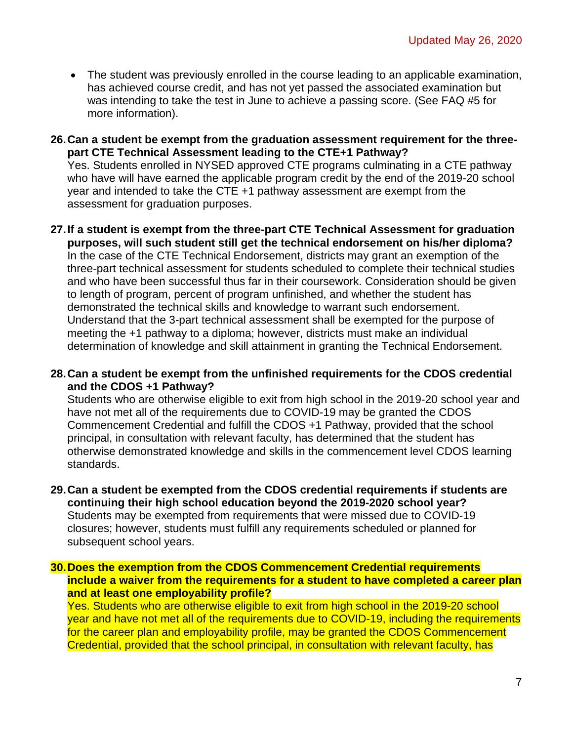- The student was previously enrolled in the course leading to an applicable examination, has achieved course credit, and has not yet passed the associated examination but was intending to take the test in June to achieve a passing score. (See FAQ #5 for more information).
- **26.Can a student be exempt from the graduation assessment requirement for the threepart CTE Technical Assessment leading to the CTE+1 Pathway?**

Yes. Students enrolled in NYSED approved CTE programs culminating in a CTE pathway who have will have earned the applicable program credit by the end of the 2019-20 school year and intended to take the CTE +1 pathway assessment are exempt from the assessment for graduation purposes.

- **27.If a student is exempt from the three-part CTE Technical Assessment for graduation purposes, will such student still get the technical endorsement on his/her diploma?** In the case of the CTE Technical Endorsement, districts may grant an exemption of the three-part technical assessment for students scheduled to complete their technical studies and who have been successful thus far in their coursework. Consideration should be given to length of program, percent of program unfinished, and whether the student has demonstrated the technical skills and knowledge to warrant such endorsement. Understand that the 3-part technical assessment shall be exempted for the purpose of meeting the +1 pathway to a diploma; however, districts must make an individual determination of knowledge and skill attainment in granting the Technical Endorsement.
- **28.Can a student be exempt from the unfinished requirements for the CDOS credential and the CDOS +1 Pathway?**

Students who are otherwise eligible to exit from high school in the 2019-20 school year and have not met all of the requirements due to COVID-19 may be granted the CDOS Commencement Credential and fulfill the CDOS +1 Pathway, provided that the school principal, in consultation with relevant faculty, has determined that the student has otherwise demonstrated knowledge and skills in the commencement level CDOS learning standards.

**29.Can a student be exempted from the CDOS credential requirements if students are continuing their high school education beyond the 2019-2020 school year?** Students may be exempted from requirements that were missed due to COVID-19 closures; however, students must fulfill any requirements scheduled or planned for subsequent school years.

**30.Does the exemption from the CDOS Commencement Credential requirements include a waiver from the requirements for a student to have completed a career plan and at least one employability profile?**

Yes. Students who are otherwise eligible to exit from high school in the 2019-20 school year and have not met all of the requirements due to COVID-19, including the requirements for the career plan and employability profile, may be granted the CDOS Commencement Credential, provided that the school principal, in consultation with relevant faculty, has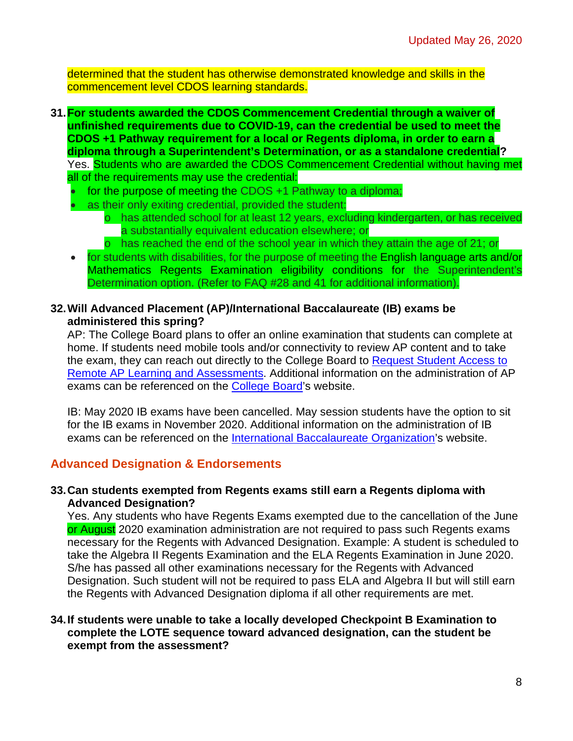determined that the student has otherwise demonstrated knowledge and skills in the commencement level CDOS learning standards.

- **31.For students awarded the CDOS Commencement Credential through a waiver of unfinished requirements due to COVID-19, can the credential be used to meet the CDOS +1 Pathway requirement for a local or Regents diploma, in order to earn a diploma through a Superintendent's Determination, or as a standalone credential?** Yes. Students who are awarded the CDOS Commencement Credential without having met all of the requirements may use the credential:
	- for the purpose of meeting the CDOS +1 Pathway to a diploma;
	- as their only exiting credential, provided the student:
		- o has attended school for at least 12 years, excluding kindergarten, or has received a substantially equivalent education elsewhere; or
		- o has reached the end of the school year in which they attain the age of 21; or
	- for students with disabilities, for the purpose of meeting the English language arts and/or Mathematics Regents Examination eligibility conditions for the Superintendent's Determination option. (Refer to FAQ #28 and 41 for additional information).
- **32.Will Advanced Placement (AP)/International Baccalaureate (IB) exams be administered this spring?**

AP: The College Board plans to offer an online examination that students can complete at home. If students need mobile tools and/or connectivity to review AP content and to take the exam, they can reach out directly to the College Board to [Request Student Access](https://collegeboard.tfaforms.net/74) to [Remote AP Learning and Assessments.](https://collegeboard.tfaforms.net/74) Additional information on the administration of AP exams can be referenced on the [College Board'](https://apcentral.collegeboard.org/about-ap/news-changes/coronavirus-update)s website.

IB: May 2020 IB exams have been cancelled. May session students have the option to sit for the IB exams in November 2020. Additional information on the administration of IB exams can be referenced on the [International Baccalaureate Organization'](https://www.ibo.org/)s website.

### <span id="page-7-0"></span>**Advanced Designation & Endorsements**

#### **33.Can students exempted from Regents exams still earn a Regents diploma with Advanced Designation?**

Yes. Any students who have Regents Exams exempted due to the cancellation of the June or August 2020 examination administration are not required to pass such Regents exams necessary for the Regents with Advanced Designation. Example: A student is scheduled to take the Algebra II Regents Examination and the ELA Regents Examination in June 2020. S/he has passed all other examinations necessary for the Regents with Advanced Designation. Such student will not be required to pass ELA and Algebra II but will still earn the Regents with Advanced Designation diploma if all other requirements are met.

### **34.If students were unable to take a locally developed Checkpoint B Examination to complete the LOTE sequence toward advanced designation, can the student be exempt from the assessment?**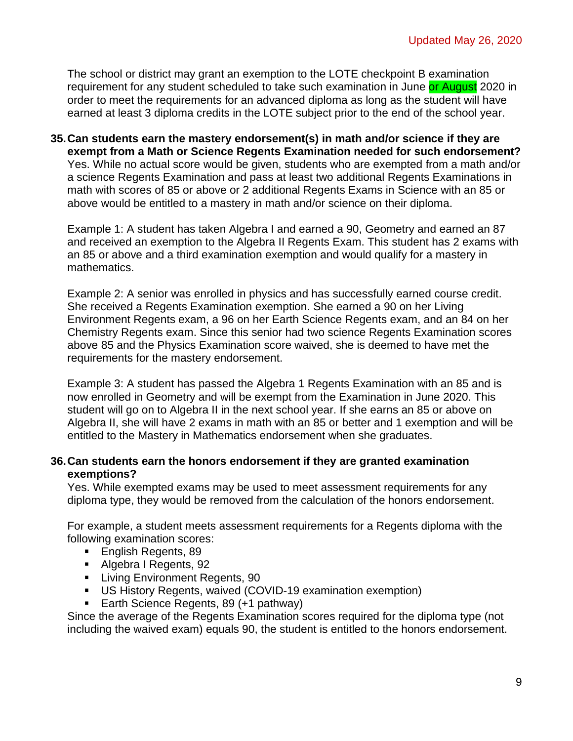The school or district may grant an exemption to the LOTE checkpoint B examination requirement for any student scheduled to take such examination in June or August 2020 in order to meet the requirements for an advanced diploma as long as the student will have earned at least 3 diploma credits in the LOTE subject prior to the end of the school year.

### **35.Can students earn the mastery endorsement(s) in math and/or science if they are exempt from a Math or Science Regents Examination needed for such endorsement?** Yes. While no actual score would be given, students who are exempted from a math and/or a science Regents Examination and pass at least two additional Regents Examinations in math with scores of 85 or above or 2 additional Regents Exams in Science with an 85 or above would be entitled to a mastery in math and/or science on their diploma.

Example 1: A student has taken Algebra I and earned a 90, Geometry and earned an 87 and received an exemption to the Algebra II Regents Exam. This student has 2 exams with an 85 or above and a third examination exemption and would qualify for a mastery in mathematics.

Example 2: A senior was enrolled in physics and has successfully earned course credit. She received a Regents Examination exemption. She earned a 90 on her Living Environment Regents exam, a 96 on her Earth Science Regents exam, and an 84 on her Chemistry Regents exam. Since this senior had two science Regents Examination scores above 85 and the Physics Examination score waived, she is deemed to have met the requirements for the mastery endorsement.

Example 3: A student has passed the Algebra 1 Regents Examination with an 85 and is now enrolled in Geometry and will be exempt from the Examination in June 2020. This student will go on to Algebra II in the next school year. If she earns an 85 or above on Algebra II, she will have 2 exams in math with an 85 or better and 1 exemption and will be entitled to the Mastery in Mathematics endorsement when she graduates.

### **36.Can students earn the honors endorsement if they are granted examination exemptions?**

Yes. While exempted exams may be used to meet assessment requirements for any diploma type, they would be removed from the calculation of the honors endorsement.

For example, a student meets assessment requirements for a Regents diploma with the following examination scores:

- **English Regents, 89**
- Algebra I Regents, 92
- **Living Environment Regents, 90**
- US History Regents, waived (COVID-19 examination exemption)
- Earth Science Regents, 89 (+1 pathway)

Since the average of the Regents Examination scores required for the diploma type (not including the waived exam) equals 90, the student is entitled to the honors endorsement.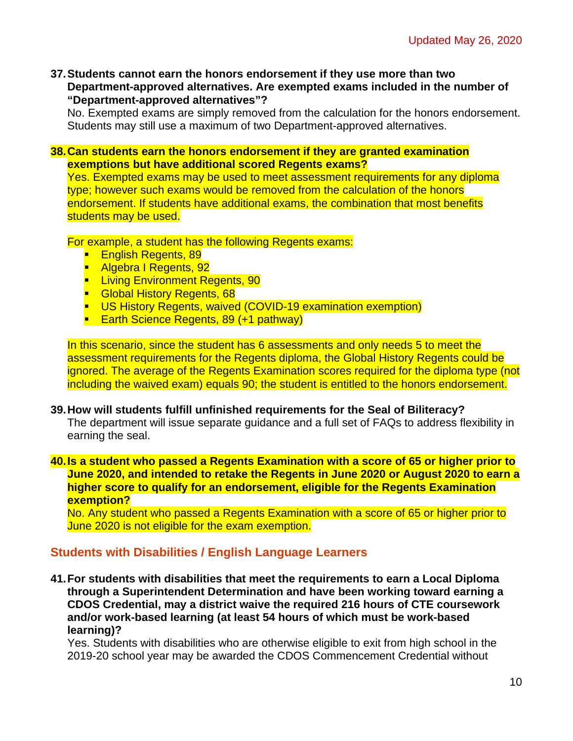**37.Students cannot earn the honors endorsement if they use more than two Department-approved alternatives. Are exempted exams included in the number of "Department-approved alternatives"?**

No. Exempted exams are simply removed from the calculation for the honors endorsement. Students may still use a maximum of two Department-approved alternatives.

#### **38.Can students earn the honors endorsement if they are granted examination exemptions but have additional scored Regents exams?**

Yes. Exempted exams may be used to meet assessment requirements for any diploma type; however such exams would be removed from the calculation of the honors endorsement. If students have additional exams, the combination that most benefits students may be used.

For example, a student has the following Regents exams:

- **English Regents, 89**
- **Algebra I Regents, 92**
- **E** Living Environment Regents, 90
- **Global History Regents, 68**
- **US History Regents, waived (COVID-19 examination exemption)**
- **Earth Science Regents, 89 (+1 pathway)**

In this scenario, since the student has 6 assessments and only needs 5 to meet the assessment requirements for the Regents diploma, the Global History Regents could be ignored. The average of the Regents Examination scores required for the diploma type (not including the waived exam) equals 90; the student is entitled to the honors endorsement.

#### **39.How will students fulfill unfinished requirements for the Seal of Biliteracy?**

The department will issue separate guidance and a full set of FAQs to address flexibility in earning the seal.

#### **40.Is a student who passed a Regents Examination with a score of 65 or higher prior to June 2020, and intended to retake the Regents in June 2020 or August 2020 to earn a higher score to qualify for an endorsement, eligible for the Regents Examination exemption?**

No. Any student who passed a Regents Examination with a score of 65 or higher prior to June 2020 is not eligible for the exam exemption.

### <span id="page-9-0"></span>**Students with Disabilities / English Language Learners**

**41.For students with disabilities that meet the requirements to earn a Local Diploma through a Superintendent Determination and have been working toward earning a CDOS Credential, may a district waive the required 216 hours of CTE coursework and/or work-based learning (at least 54 hours of which must be work-based learning)?**

Yes. Students with disabilities who are otherwise eligible to exit from high school in the 2019-20 school year may be awarded the CDOS Commencement Credential without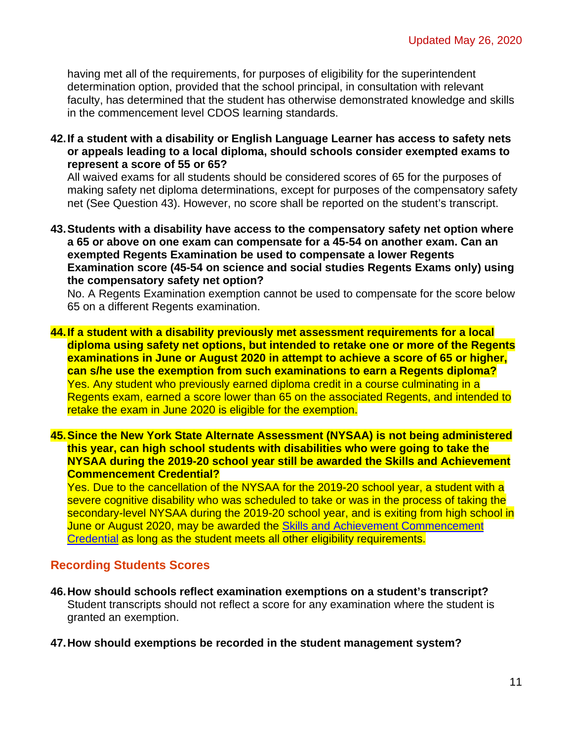having met all of the requirements, for purposes of eligibility for the superintendent determination option, provided that the school principal, in consultation with relevant faculty, has determined that the student has otherwise demonstrated knowledge and skills in the commencement level CDOS learning standards.

**42.If a student with a disability or English Language Learner has access to safety nets or appeals leading to a local diploma, should schools consider exempted exams to represent a score of 55 or 65?**

All waived exams for all students should be considered scores of 65 for the purposes of making safety net diploma determinations, except for purposes of the compensatory safety net (See Question 43). However, no score shall be reported on the student's transcript.

**43.Students with a disability have access to the compensatory safety net option where a 65 or above on one exam can compensate for a 45-54 on another exam. Can an exempted Regents Examination be used to compensate a lower Regents Examination score (45-54 on science and social studies Regents Exams only) using the compensatory safety net option?**

No. A Regents Examination exemption cannot be used to compensate for the score below 65 on a different Regents examination.

**44.If a student with a disability previously met assessment requirements for a local diploma using safety net options, but intended to retake one or more of the Regents examinations in June or August 2020 in attempt to achieve a score of 65 or higher, can s/he use the exemption from such examinations to earn a Regents diploma?** Yes. Any student who previously earned diploma credit in a course culminating in a Regents exam, earned a score lower than 65 on the associated Regents, and intended to retake the exam in June 2020 is eligible for the exemption.

**45.Since the New York State Alternate Assessment (NYSAA) is not being administered this year, can high school students with disabilities who were going to take the NYSAA during the 2019-20 school year still be awarded the Skills and Achievement Commencement Credential?** 

Yes. Due to the cancellation of the NYSAA for the 2019-20 school year, a student with a severe cognitive disability who was scheduled to take or was in the process of taking the secondary-level NYSAA during the 2019-20 school year, and is exiting from high school in June or August 2020, may be awarded the Skills and Achievement Commencement [Credential](http://www.p12.nysed.gov/specialed/publications/SACCmemo.htm) as long as the student meets all other eligibility requirements.

### <span id="page-10-0"></span>**Recording Students Scores**

- **46.How should schools reflect examination exemptions on a student's transcript?** Student transcripts should not reflect a score for any examination where the student is granted an exemption.
- **47.How should exemptions be recorded in the student management system?**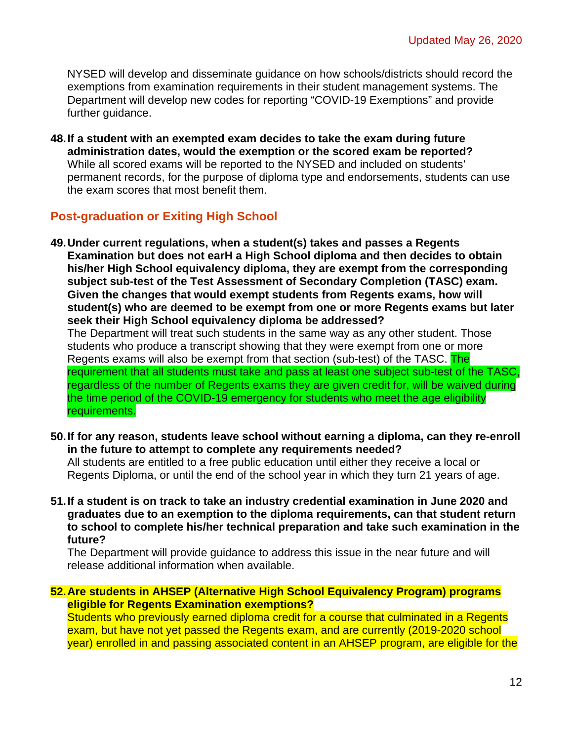NYSED will develop and disseminate guidance on how schools/districts should record the exemptions from examination requirements in their student management systems. The Department will develop new codes for reporting "COVID-19 Exemptions" and provide further guidance.

**48.If a student with an exempted exam decides to take the exam during future administration dates, would the exemption or the scored exam be reported?** While all scored exams will be reported to the NYSED and included on students' permanent records, for the purpose of diploma type and endorsements, students can use the exam scores that most benefit them.

## <span id="page-11-0"></span>**Post-graduation or Exiting High School**

- **49.Under current regulations, when a student(s) takes and passes a Regents Examination but does not earH a High School diploma and then decides to obtain his/her High School equivalency diploma, they are exempt from the corresponding subject sub-test of the Test Assessment of Secondary Completion (TASC) exam. Given the changes that would exempt students from Regents exams, how will student(s) who are deemed to be exempt from one or more Regents exams but later seek their High School equivalency diploma be addressed?** The Department will treat such students in the same way as any other student. Those students who produce a transcript showing that they were exempt from one or more Regents exams will also be exempt from that section (sub-test) of the TASC. The requirement that all students must take and pass at least one subject sub-test of the TASC, regardless of the number of Regents exams they are given credit for, will be waived during the time period of the COVID-19 emergency for students who meet the age eligibility requirements.
- **50.If for any reason, students leave school without earning a diploma, can they re-enroll in the future to attempt to complete any requirements needed?**

All students are entitled to a free public education until either they receive a local or Regents Diploma, or until the end of the school year in which they turn 21 years of age.

**51.If a student is on track to take an industry credential examination in June 2020 and graduates due to an exemption to the diploma requirements, can that student return to school to complete his/her technical preparation and take such examination in the future?**

The Department will provide guidance to address this issue in the near future and will release additional information when available.

<span id="page-11-1"></span>**52.Are students in AHSEP (Alternative High School Equivalency Program) programs eligible for Regents Examination exemptions?**

Students who previously earned diploma credit for a course that culminated in a Regents exam, but have not yet passed the Regents exam, and are currently (2019-2020 school year) enrolled in and passing associated content in an AHSEP program, are eligible for the